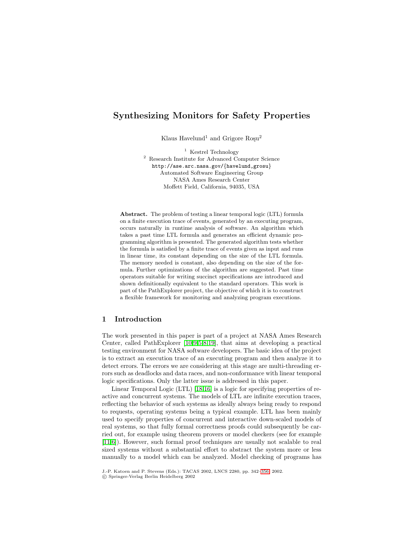# **Synthesizing Monitors for Safety Properties**

Klaus Havelund<sup>1</sup> and Grigore Ro $\mu$ <sup>2</sup>

<sup>1</sup> Kestrel Technology <sup>2</sup> Research Institute for Advanced Computer Science http://ase.arc.nasa.gov/{havelund,grosu} Automated Software Engineering Group NASA Ames Research Center Moffett Field, California, 94035, USA

**Abstract.** The problem of testing a linear temporal logic (LTL) formula on a finite execution trace of events, generated by an executing program, occurs naturally in runtime analysis of software. An algorithm which takes a past time LTL formula and generates an efficient dynamic programming algorithm is presented. The generated algorithm tests whether the formula is satisfied by a finite trace of events given as input and runs in linear time, its constant depending on the size of the LTL formula. The memory needed is constant, also depending on the size of the formula. Further optimizations of the algorithm are suggested. Past time operators suitable for writing succinct specifications are introduced and shown definitionally equivalent to the standard operators. This work is part of the PathExplorer project, the objective of which it is to construct a flexible framework for monitoring and analyzing program executions.

# **1 Introduction**

The work presented in this paper is part of a project at NASA Ames Research Center, called PathExplorer [\[10,9,](#page-14-0)[5,](#page-13-0)[8,19\]](#page-14-0), that aims at developing a practical testing environment for NASA software developers. The basic idea of the project is to extract an execution trace of an executing program and then analyze it to detect errors. The errors we are considering at this stage are multi-threading errors such as deadlocks and data races, and non-conformance with linear temporal logic specifications. Only the latter issue is addressed in this paper.

Linear Temporal Logic (LTL) [\[18,16\]](#page-14-0) is a logic for specifying properties of reactive and concurrent systems. The models of LTL are infinite execution traces, reflecting the behavior of such systems as ideally always being ready to respond to requests, operating systems being a typical example. LTL has been mainly used to specify properties of concurrent and interactive down-scaled models of real systems, so that fully formal correctness proofs could subsequently be carried out, for example using theorem provers or model checkers (see for example [\[11,6\]](#page-14-0)). However, such formal proof techniques are usually not scalable to real sized systems without a substantial effort to abstract the system more or less manually to a model which can be analyzed. Model checking of programs has

J.-P. Katoen and P. Stevens (Eds.): TACAS 2002, LNCS 2280, pp. 342[–356,](#page-14-0) 2002.

c Springer-Verlag Berlin Heidelberg 2002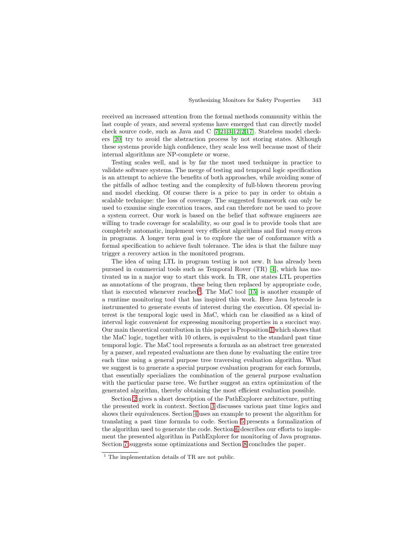received an increased attention from the formal methods community within the last couple of years, and several systems have emerged that can directly model check source code, such as Java and C [\[7,21](#page-14-0)[,3,](#page-13-0)[12](#page-14-0)[,2](#page-13-0)[,17\]](#page-14-0). Stateless model checkers [\[20\]](#page-14-0) try to avoid the abstraction process by not storing states. Although these systems provide high confidence, they scale less well because most of their internal algorithms are NP-complete or worse.

Testing scales well,and is by far the most used technique in practice to validate software systems. The merge of testing and temporal logic specification is an attempt to achieve the benefits of both approaches, while avoiding some of the pitfalls of adhoc testing and the complexity of full-blown theorem proving and model checking. Of course there is a price to pay in order to obtain a scalable technique: the loss of coverage. The suggested framework can only be used to examine single execution traces, and can therefore not be used to prove a system correct. Our work is based on the belief that software engineers are willing to trade coverage for scalability, so our goal is to provide tools that are completely automatic, implement very efficient algorithms and find many errors in programs. A longer term goal is to explore the use of conformance with a formal specification to achieve fault tolerance. The idea is that the failure may trigger a recovery action in the monitored program.

The idea of using LTL in program testing is not new. It has already been pursued in commercial tools such as Temporal Rover  $(TR)$  [\[4\]](#page-13-0), which has motivated us in a major way to start this work. In TR, one states LTL properties as annotations of the program, these being then replaced by appropriate code, that is executed whenever reached<sup>1</sup>. The MaC tool [\[15\]](#page-14-0) is another example of a runtime monitoring tool that has inspired this work. Here Java bytecode is instrumented to generate events of interest during the execution. Of special interest is the temporal logic used in MaC,which can be classified as a kind of interval logic convenient for expressing monitoring properties in a succinct way. Our main theoretical contribution in this paper is Proposition [1](#page-4-0) which shows that the MaC logic, together with 10 others, is equivalent to the standard past time temporal logic. The MaC tool represents a formula as an abstract tree generated by a parser,and repeated evaluations are then done by evaluating the entire tree each time using a general purpose tree traversing evaluation algorithm. What we suggest is to generate a special purpose evaluation program for each formula, that essentially specializes the combination of the general purpose evaluation with the particular parse tree. We further suggest an extra optimization of the generated algorithm, thereby obtaining the most efficient evaluation possible.

Section [2](#page-2-0) gives a short description of the PathExplorer architecture, putting the presented work in context. Section [3](#page-2-0) discusses various past time logics and shows their equivalences. Section [4](#page-5-0) uses an example to present the algorithm for translating a past time formula to code. Section [5](#page-7-0) presents a formalization of the algorithm used to generate the code. Section [6](#page-9-0) describes our efforts to implement the presented algorithm in PathExplorer for monitoring of Java programs. Section [7](#page-11-0) suggests some optimizations and Section [8](#page-13-0) concludes the paper.

 $1$  The implementation details of TR are not public.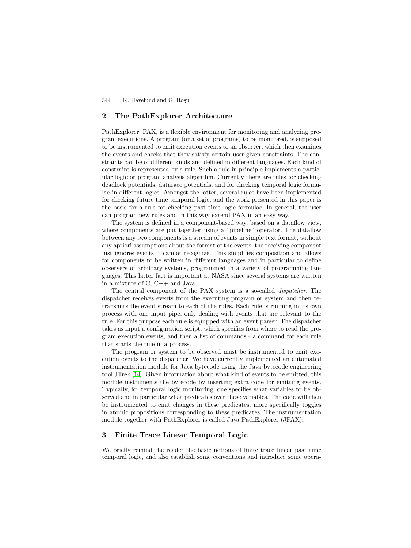# <span id="page-2-0"></span>**2 The PathExplorer Architecture**

PathExplorer, PAX, is a flexible environment for monitoring and analyzing program executions. A program (or a set of programs) to be monitored, is supposed to be instrumented to emit execution events to an observer, which then examines the events and checks that they satisfy certain user-given constraints. The constraints can be of different kinds and defined in different languages. Each kind of constraint is represented by a rule. Such a rule in principle implements a particular logic or program analysis algorithm. Currently there are rules for checking deadlock potentials, datarace potentials, and for checking temporal logic formulae in different logics. Amongst the latter, several rules have been implemented for checking future time temporal logic, and the work presented in this paper is the basis for a rule for checking past time logic formulae. In general, the user can program new rules and in this way extend PAX in an easy way.

The system is defined in a component-based way, based on a dataflow view, where components are put together using a "pipeline" operator. The dataflow between any two components is a stream of events in simple text format, without any apriori assumptions about the format of the events; the receiving component just ignores events it cannot recognize. This simplifies composition and allows for components to be written in different languages and in particular to define observers of arbitrary systems, programmed in a variety of programming languages. This latter fact is important at NASA since several systems are written in a mixture of C,C++ and Java.

The central component of the PAX system is a so-called dispatcher. The dispatcher receives events from the executing program or system and then retransmits the event stream to each of the rules. Each rule is running in its own process with one input pipe, only dealing with events that are relevant to the rule. For this purpose each rule is equipped with an event parser. The dispatcher takes as input a configuration script,which specifies from where to read the program execution events, and then a list of commands - a command for each rule that starts the rule in a process.

The program or system to be observed must be instrumented to emit execution events to the dispatcher. We have currently implemented an automated instrumentation module for Java bytecode using the Java bytecode engineering tool JTrek [\[14\]](#page-14-0). Given information about what kind of events to be emitted, this module instruments the bytecode by inserting extra code for emitting events. Typically, for temporal logic monitoring, one specifies what variables to be observed and in particular what predicates over these variables. The code will then be instrumented to emit changes in these predicates, more specifically toggles in atomic propositions corresponding to these predicates. The instrumentation module together with PathExplorer is called Java PathExplorer (JPAX).

# **3 Finite Trace Linear Temporal Logic**

We briefly remind the reader the basic notions of finite trace linear past time temporal logic, and also establish some conventions and introduce some opera-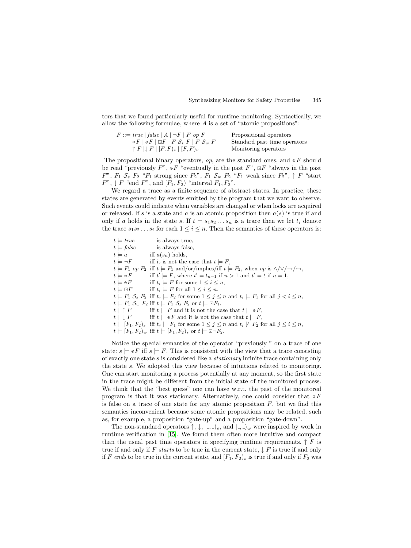tors that we found particularly useful for runtime monitoring. Syntactically, we allow the following formulae, where  $A$  is a set of "atomic propositions":

| $F ::= true   false   A   \neg F   F op F$                     | Propositional operators      |
|----------------------------------------------------------------|------------------------------|
| $\circ F \circ F \circ F$ $\Box F \circ F \circ F$ $F \circ F$ | Standard past time operators |
| $\uparrow F \downarrow F \mid [F, F]_s \mid [F, F]_w$          | Monitoring operators         |

The propositional binary operators,  $op$ , are the standard ones, and ∘F should be read "previously  $F$ ",  $\Phi F$  "eventually in the past  $F$ ",  $\Box F$  "always in the past  $F$ ",  $F_1$   $S_s$   $F_2$  " $F_1$  strong since  $F_2$ ",  $F_1$   $S_w$   $F_2$  " $F_1$  weak since  $F_2$ ",  $\uparrow$   $F$  "start  $F$ ",  $\downarrow$  F "end F", and  $[F_1, F_2]$  "interval  $F_1, F_2$ ".

We regard a trace as a finite sequence of abstract states. In practice, these states are generated by events emitted by the program that we want to observe. Such events could indicate when variables are changed or when locks are acquired or released. If s is a state and a is an atomic proposition then  $a(s)$  is true if and only if a holds in the state s. If  $t = s_1 s_2 \dots s_n$  is a trace then we let  $t_i$  denote the trace  $s_1s_2...s_i$  for each  $1 \leq i \leq n$ . Then the semantics of these operators is:

 $t \models true$  is always true,  $t \models false$  is always false,  $t \models a$  iff  $a(s_n)$  holds,  $t \models \neg F$  iff it is not the case that  $t \models F$ ,  $t = F_1$  op  $F_2$  iff  $t = F_1$  and/or/implies/iff  $t = F_2$ , when op is  $\land/\lor/\rightarrow/\leftrightarrow$ ,  $t \models \circ F$  $\ell' \models F$ , where  $t' = t_{n-1}$  if  $n > 1$  and  $t' = t$  if  $n = 1$ ,  $t \models \Phi F$  iff  $t_i \models F$  for some  $1 \leq i \leq n$ ,  $t \models \Box F$  iff  $t_i \models F$  for all  $1 \leq i \leq n$ ,  $t \models F_1 \mathcal{S}_s F_2$  iff  $t_j \models F_2$  for some  $1 \leq j \leq n$  and  $t_i \models F_1$  for all  $j < i \leq n$ ,  $t \models F_1 \mathcal{S}_w F_2$  iff  $t \models F_1 \mathcal{S}_s F_2$  or  $t \models \Box F_1$ ,  $t \models \uparrow F$  iff  $t \models F$  and it is not the case that  $t \models \circ F$ ,  $t \models \downarrow F$  iff  $t \models \circ F$  and it is not the case that  $t \models F$ ,  $t = [F_1, F_2]$  if  $t_j \models F_1$  for some  $1 \leq j \leq n$  and  $t_i \not\models F_2$  for all  $j \leq i \leq n$ ,  $t \models [F_1, F_2)_w$  iff  $t \models [F_1, F_2)_s$  or  $t \models \Box \neg F_2$ .

Notice the special semantics of the operator "previously " on a trace of one state:  $s \models \circ F$  iff  $s \models F$ . This is consistent with the view that a trace consisting of exactly one state s is considered like a stationary infinite trace containing only the state s. We adopted this view because of intuitions related to monitoring. One can start monitoring a process potentially at any moment, so the first state in the trace might be different from the initial state of the monitored process. We think that the "best guess" one can have w.r.t. the past of the monitored program is that it was stationary. Alternatively, one could consider that  $\circ F$ is false on a trace of one state for any atomic proposition  $F$ , but we find this semantics inconvenient because some atomic propositions may be related, such as, for example, a proposition "gate-up" and a proposition "gate-down".

The non-standard operators  $\uparrow$ ,  $\downarrow$ ,  $\left[ \frac{1}{2}, \frac{1}{2} \right]$ , and  $\left[ \frac{1}{2}, \frac{1}{2} \right]$  were inspired by work in runtime verification in [\[15\]](#page-14-0). We found them often more intuitive and compact than the usual past time operators in specifying runtime requirements.  $\uparrow$  F is true if and only if F starts to be true in the current state,  $\downarrow$  F is true if and only if F ends to be true in the current state, and  $[F_1, F_2]_s$  is true if and only if  $F_2$  was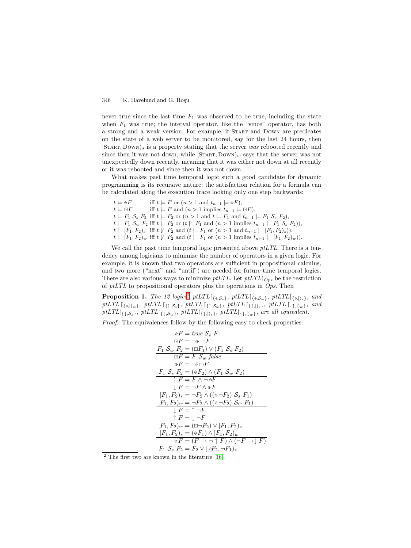<span id="page-4-0"></span>never true since the last time  $F_1$  was observed to be true, including the state when  $F_1$  was true; the interval operator, like the "since" operator, has both a strong and a weak version. For example, if START and Down are predicates on the state of a web server to be monitored, say for the last 24 hours, then  $[S<sub>TART</sub>, Down)$ <sub>s</sub> is a property stating that the server was rebooted recently and since then it was not down, while  $[\text{START}, \text{Down}]_w$  says that the server was not unexpectedly down recently, meaning that it was either not down at all recently or it was rebooted and since then it was not down.

What makes past time temporal logic such a good candidate for dynamic programming is its recursive nature: the satisfaction relation for a formula can be calculated along the execution trace looking only one step backwards:

 $t \models \Phi F$  iff  $t \models F$  or  $(n > 1 \text{ and } t_{n-1} \models \Phi F)$ ,  $t \models \Box F$  iff  $t \models F$  and  $(n > 1$  implies  $t_{n-1} \models \Box F$ ,  $t \models F_1 \mathcal{S}_s F_2$  iff  $t \models F_2$  or  $(n > 1 \text{ and } t \models F_1 \text{ and } t_{n-1} \models F_1 \mathcal{S}_s F_2$ ,  $t \models F_1 \mathcal{S}_w F_2$  iff  $t \models F_2$  or  $(t \models F_1 \text{ and } (n > 1 \text{ implies } t_{n-1} \models F_1 \mathcal{S}_s F_2)),$  $t \models [F_1, F_2)_s$  iff  $t \not\models F_2$  and  $(t \models F_1 \text{ or } (n > 1 \text{ and } t_{n-1} \models [F_1, F_2)_s)),$  $t = [F_1, F_2)_w$  iff  $t \not\models F_2$  and  $(t \models F_1 \text{ or } (n > 1 \text{ implies } t_{n-1} \models [F_1, F_2)_w]).$ 

We call the past time temporal logic presented above *ptLTL*. There is a tendency among logicians to minimize the number of operators in a given logic. For example, it is known that two operators are sufficient in propositional calculus, and two more ("next" and "until") are needed for future time temporal logics. There are also various ways to minimize ptLTL. Let  $ptLTL|_{Ops}$  be the restriction of  $ptLTL$  to propositional operators plus the operations in  $Ops$ . Then

**Proposition 1.** The 12 logics<sup>2</sup> ptLTL[<sub>{☉</sub>,S<sub>s</sub>}</sub>, ptLTL[<sub>{☉</sub>,S<sub>w</sub>}, ptLTL[<sub>{☉</sub>,[<sub>8</sub>}, and  $ptLTL$   $\upharpoonright_{\{\circ,\downarrow\omega\}}$ ,  $ptLTL$   $\upharpoonright_{\{\uparrow,\mathcal{S}_s\}}$ ,  $ptLTL$   $\upharpoonright_{\{\uparrow,\mathcal{S}_w\}}$ ,  $ptLTL$   $\upharpoonright_{\{\uparrow,\downarrow\}_s\}}$ ,  $ptLTL$   $\upharpoonright_{\{\uparrow,\downarrow\}_w\}}$ , and  $ptLTL_{\{1, S_s\}}$ ,  $ptLTL_{\{1, S_w\}}$ ,  $ptLTL_{\{1, [0_s\}}$ ,  $ptLTL_{\{1, [0_w\}}$ , are all equivalent.

Proof. The equivalences follow by the following easy to check properties:

$$
\begin{aligned}\n&\Phi F = \text{true } \mathcal{S}_s \ F \\
&\text{E} F = \neg \Phi \neg F \\
F_1 \mathcal{S}_w \ F_2 = (\boxminus F_1) \lor (F_1 \mathcal{S}_s \ F_2) \\
&\text{E} F = F \mathcal{S}_w \ \text{false} \\
&\Rightarrow F = \neg \boxminus \neg F \\
F_1 \mathcal{S}_s \ F_2 = (\Phi F_2) \land (F_1 \mathcal{S}_w \ F_2) \\
&\Rightarrow F = \neg F \land \neg F \\
&\downarrow F = F \land \neg \text{B} F \\
&\downarrow F = \neg F \land \Phi F \\
[F_1, F_2)_s = \neg F_2 \land ((\Phi \neg F_2) \mathcal{S}_s \ F_1) \\
&\downarrow F = \uparrow \neg F \\
&\uparrow F = \downarrow \neg F \\
&\uparrow F = \downarrow \neg F \\
[F_1, F_2)_w = (\boxminus \neg F_2) \lor [F_1, F_2)_s \\
&\hbox{E} F = (F \rightarrow \neg \uparrow F) \land (\neg F \rightarrow \downarrow F) \\
F_1 \mathcal{S}_s \ F_2 = F_2 \lor [\Phi F_2, \neg F_1)_s\n\end{aligned}
$$

 $2$  The first two are known in the literature [\[16\]](#page-14-0).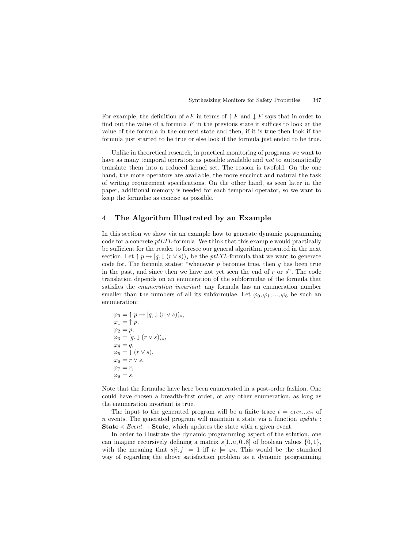<span id="page-5-0"></span>For example, the definition of  $\circ F$  in terms of  $\uparrow F$  and  $\downarrow F$  says that in order to find out the value of a formula  $F$  in the previous state it suffices to look at the value of the formula in the current state and then,if it is true then look if the formula just started to be true or else look if the formula just ended to be true.

Unlike in theoretical research, in practical monitoring of programs we want to have as many temporal operators as possible available and *not* to automatically translate them into a reduced kernel set. The reason is twofold. On the one hand, the more operators are available, the more succinct and natural the task of writing requirement specifications. On the other hand,as seen later in the paper, additional memory is needed for each temporal operator, so we want to keep the formulae as concise as possible.

### **4 The AlgorithmIllustrated by an Example**

In this section we show via an example how to generate dynamic programming code for a concrete  $ptLTL$ -formula. We think that this example would practically be sufficient for the reader to foresee our general algorithm presented in the next section. Let  $\uparrow p \rightarrow [q, \downarrow (r \vee s)]_s$  be the *ptLTL*-formula that we want to generate code for. The formula states: "whenever  $p$  becomes true, then  $q$  has been true in the past, and since then we have not yet seen the end of  $r$  or  $s$ ". The code translation depends on an enumeration of the subformulae of the formula that satisfies the enumeration invariant: any formula has an enumeration number smaller than the numbers of all its subformulae. Let  $\varphi_0, \varphi_1, ..., \varphi_8$  be such an enumeration:

 $\varphi_0 = \uparrow p \rightarrow [q, \downarrow (r \vee s))_s,$  $\varphi_1 = \uparrow p,$  $\varphi_2 = p$ ,  $\varphi_3 = [q, \downarrow (r \vee s))_s,$  $\varphi_4 = q,$  $\varphi_5 = \downarrow (r \vee s),$  $\varphi_6 = r \vee s$ ,  $\varphi_7 = r$ ,  $\varphi_8 = s.$ 

Note that the formulae have here been enumerated in a post-order fashion. One could have chosen a breadth-first order, or any other enumeration, as long as the enumeration invariant is true.

The input to the generated program will be a finite trace  $t = e_1e_2...e_n$  of  $n$  events. The generated program will maintain a state via a function  $update$ : **State**  $\times$  *Event*  $\rightarrow$  **State**, which updates the state with a given event.

In order to illustrate the dynamic programming aspect of the solution, one can imagine recursively defining a matrix  $s[1..n, 0..8]$  of boolean values  $\{0, 1\}$ , with the meaning that  $s[i, j] = 1$  iff  $t_i \models \varphi_j$ . This would be the standard way of regarding the above satisfaction problem as a dynamic programming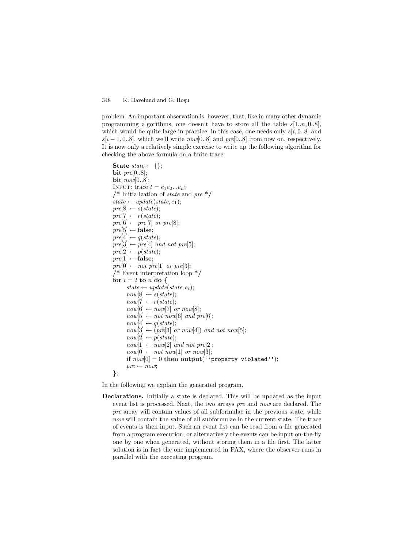problem. An important observation is, however, that, like in many other dynamic programming algorithms, one doesn't have to store all the table  $s[1..n, 0..8]$ , which would be quite large in practice; in this case, one needs only  $s[i, 0..8]$  and  $s[i - 1, 0..8]$ , which we'll write  $now[0..8]$  and  $pre[0..8]$  from now on, respectively. It is now only a relatively simple exercise to write up the following algorithm for checking the above formula on a finite trace:

```
State state \leftarrow \{\};bit pre[0..8];
bit now[0..8];
INPUT: trace t = e_1e_2...e_n;/* Initialization of state and pre */
sitate \leftarrow update(state, e_1);pre[8] \leftarrow s(state);pre[7] \leftarrow r(state);pre[6] \leftarrow pre[7] or pre[8];
pre[5] \leftarrow false;
pre[4] \leftarrow q(state);pre[3] \leftarrow pre[4] and not pre[5];
pre[2] \leftarrow p(state);\textit{pre}[1] \leftarrow \textbf{false};pre[0] \leftarrow not \ pre[1] \ or \ pre[3];/* Event interpretation loop */
for i = 2 to n do \{state \leftarrow update(state, e_i);now[8] \leftarrow s(state);now [7] \leftarrow r(state);now[6] \leftarrow now[7] or now[8];now[5] \leftarrow not \; now[6] \; and \; pre[6];now[4] \leftarrow q(state);now[3] \leftarrow (pre[3] \text{ or } now[4]) \text{ and not } now[5];now[2] \leftarrow p(state);now[1] \leftarrow now[2] and not pre[2];
      now[0] \leftarrow not \; now[1] \; or \; now[3];if \text{now}[0] = 0 then output(\text{``property violated''};pre \leftarrow now;};
```
In the following we explain the generated program.

**Declarations.** Initially a state is declared. This will be updated as the input event list is processed. Next, the two arrays  $pre$  and  $now$  are declared. The  $pre$  array will contain values of all subformulae in the previous state, while now will contain the value of all subformulae in the current state. The trace of events is then input. Such an event list can be read from a file generated from a program execution, or alternatively the events can be input on-the-fly one by one when generated, without storing them in a file first. The latter solution is in fact the one implemented in PAX, where the observer runs in parallel with the executing program.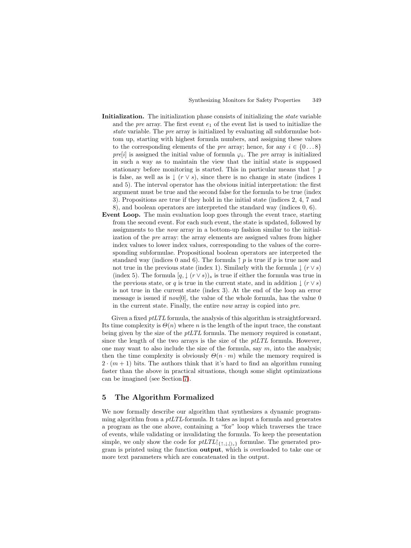- <span id="page-7-0"></span>**Initialization.** The initialization phase consists of initializing the *state* variable and the *pre* array. The first event  $e_1$  of the event list is used to initialize the state variable. The pre array is initialized by evaluating all subformulae bottom up, starting with highest formula numbers, and assigning these values to the corresponding elements of the *pre* array; hence, for any  $i \in \{0...8\}$ pre[i] is assigned the initial value of formula  $\varphi_i$ . The pre array is initialized in such a way as to maintain the view that the initial state is supposed stationary before monitoring is started. This in particular means that  $\uparrow p$ is false, as well as is  $\downarrow$  ( $r \vee s$ ), since there is no change in state (indices 1 and 5). The interval operator has the obvious initial interpretation: the first argument must be true and the second false for the formula to be true (index 3). Propositions are true if they hold in the initial state (indices 2,4,7 and 8), and boolean operators are interpreted the standard way (indices 0, 6).
- **Event Loop.** The main evaluation loop goes through the event trace, starting from the second event. For each such event, the state is updated, followed by assignments to the now array in a bottom-up fashion similar to the initialization of the pre array: the array elements are assigned values from higher index values to lower index values, corresponding to the values of the corresponding subformulae. Propositional boolean operators are interpreted the standard way (indices 0 and 6). The formula  $\uparrow p$  is true if p is true now and not true in the previous state (index 1). Similarly with the formula  $\downarrow$  ( $r \vee s$ ) (index 5). The formula  $[q, \downarrow (r \vee s)]_s$  is true if either the formula was true in the previous state, or q is true in the current state, and in addition  $\downarrow (r \vee s)$ is not true in the current state (index 3). At the end of the loop an error message is issued if  $now[0]$ , the value of the whole formula, has the value 0 in the current state. Finally, the entire now array is copied into pre.

Given a fixed  $ptLTL$  formula, the analysis of this algorithm is straightforward. Its time complexity is  $\Theta(n)$  where n is the length of the input trace, the constant being given by the size of the *ptLTL* formula. The memory required is constant, since the length of the two arrays is the size of the  $ptLTL$  formula. However, one may want to also include the size of the formula, say  $m$ , into the analysis; then the time complexity is obviously  $\Theta(n \cdot m)$  while the memory required is  $2 \cdot (m+1)$  bits. The authors think that it's hard to find an algorithm running faster than the above in practical situations, though some slight optimizations can be imagined (see Section [7\)](#page-11-0).

### **5 The AlgorithmFormalized**

We now formally describe our algorithm that synthesizes a dynamic programming algorithm from a ptLTL-formula. It takes as input a formula and generates a program as the one above, containing a "for" loop which traverses the trace of events,while validating or invalidating the formula. To keep the presentation simple, we only show the code for  $ptLTL$  $\{\uparrow,\downarrow,\downarrow,\downarrow\}$  formulae. The generated program is printed using the function **output**,which is overloaded to take one or more text parameters which are concatenated in the output.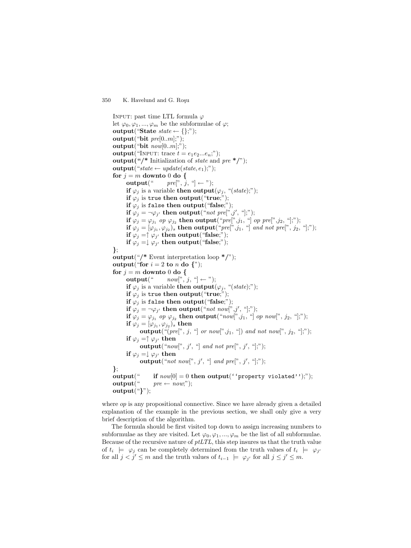```
INPUT: past time LTL formula \varphilet \varphi_0, \varphi_1, ..., \varphi_m be the subformulae of \varphi;
output("State state \leftarrow \{\};");
output("bit pre[0..m];");
output("bit now[0..m];");
output("INPUT: trace t = e_1e_2...e_n;");
output("/* Initialization of state and pre */");
output("state \leftarrow update(state, e_1);");
for j = m downto 0 do \{output(" pre[", j, "\leftarrow"] \leftarrow "\right);if \varphi_j is a variable then output(\varphi_j, \text{``(state)}; \text{''});
       if \varphi_j is true then output("true;");
       if \varphi_j is false then output("false;");
       \textbf{if}~ \varphi_j = \neg \varphi_{j'} \textbf{ then } \textbf{output}("not~ pre[",j', "";");\textbf{if}~ \varphi_j = \varphi_{j_1} ~ ~op~ \varphi_{j_2} ~ \textbf{then} ~\textbf{output}(``pre[",j_1, "] ~ op~ pre[",j_2, "];");\textbf{if}~ \varphi_j = [\varphi_{j_1}, \varphi_{j_2})_s \textbf{ then } \textbf{output}(``pre[",j_1, "] \textbf{ and } not \textbf{ } pre[", j_2, "];");if \varphi_j = \uparrow \varphi_{j'} then output("false;");
       if \varphi_j = \downarrow \varphi_{j'} then output("false;");
};
output("/* Event interpretation loop */");
output("for i = 2 to n do \{");
for j = m downto 0 do {
       output(" now[", j, "] \leftarrow ");if \varphi_j is a variable then output(\varphi_j, \mathcal{C}_{\mathit{state}});");
       if \varphi_i is true then output("true;");
       if \varphi_j is false then output("false;");
       if \varphi_j = \neg \varphi_{j'} then output("not now[",j', "];");
       \textbf{if} \;\varphi_j = \varphi_{j_1} \;\textit{op} \;\varphi_{j_2} \;\textbf{then} \;\textbf{output}(``now[",j_1, "] \;\textit{op} \;now[",j_2, "];");if \varphi_j = [\varphi_{j_1}, \varphi_{j_2}]_s then
              output("(pre[", j, "] or now[",j<sub>1</sub>, "]) and not now[", j<sub>2</sub>, "];");
       if \varphi_i = \uparrow \varphi_{i'} then
              output("now[", j', "] and not pre[", j', "];");
       if \varphi_i = \downarrow \varphi_{i'} then
              output("not now[", j', "] and pre[", j', "];");
};
output(" if now[0] = 0 then output(''property violated'');");<br>
output(" pre \leftarrow now;");
                     pre \leftarrow now; "output("}");
```
where *op* is any propositional connective. Since we have already given a detailed explanation of the example in the previous section, we shall only give a very brief description of the algorithm.

The formula should be first visited top down to assign increasing numbers to subformulae as they are visited. Let  $\varphi_0, \varphi_1, ..., \varphi_m$  be the list of all subformulae. Because of the recursive nature of  $ptLTL$ , this step insures us that the truth value of  $t_i \models \varphi_j$  can be completely determined from the truth values of  $t_i \models \varphi_{j'}$ for all  $j < j' \le m$  and the truth values of  $t_{i-1}$   $\models \varphi_{j'}$  for all  $j \le j' \le m$ .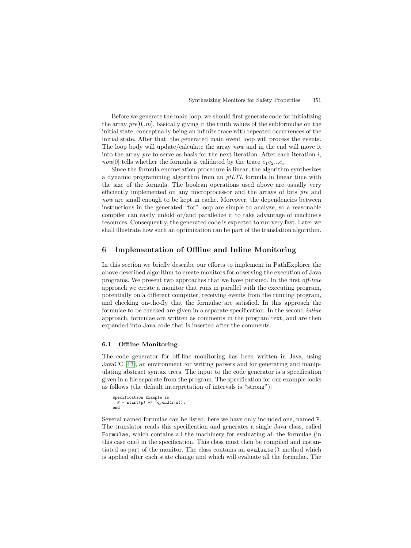<span id="page-9-0"></span>Before we generate the main loop,we should first generate code for initializing the array  $pre[0..m]$ , basically giving it the truth values of the subformulae on the initial state, conceptually being an infinite trace with repeated occurrences of the initial state. After that, the generated main event loop will process the events. The loop body will update/calculate the array now and in the end will move it into the array  $pre$  to serve as basis for the next iteration. After each iteration  $i$ , *now*[0] tells whether the formula is validated by the trace  $e_1e_2...e_i$ .

Since the formula enumeration procedure is linear, the algorithm synthesizes a dynamic programming algorithm from an ptLTL formula in linear time with the size of the formula. The boolean operations used above are usually very efficiently implemented on any microprocessor and the arrays of bits pre and  $now$  are small enough to be kept in cache. Moreover, the dependencies between instructions in the generated "for" loop are simple to analyze, so a reasonable compiler can easily unfold or/and parallelize it to take advantage of machine's resources. Consequently, the generated code is expected to run very fast. Later we shall illustrate how such an optimization can be part of the translation algorithm.

### **6 Implementation of Offline and Inline Monitoring**

In this section we briefly describe our efforts to implement in PathExplorer the above described algorithm to create monitors for observing the execution of Java programs. We present two approaches that we have pursued. In the first off-line approach we create a monitor that runs in parallel with the executing program, potentially on a different computer, receiving events from the running program, and checking on-the-fly that the formulae are satisfied. In this approach the formulae to be checked are given in a separate specification. In the second inline approach, formulae are written as comments in the program text, and are then expanded into Java code that is inserted after the comments.

### **6.1 Offline Monitoring**

The code generator for off-line monitoring has been written in Java, using JavaCC [\[13\]](#page-14-0), an environment for writing parsers and for generating and manipulating abstract syntax trees. The input to the code generator is a specification given in a file separate from the program. The specification for our example looks as follows (the default interpretation of intervals is "strong"):

```
specification Example is
 P = start(p) \rightarrow [q, end(r|s));end
```
Several named formulae can be listed; here we have only included one, named P. The translator reads this specification and generates a single Java class, called Formulae, which contains all the machinery for evaluating all the formulae (in this case one) in the specification. This class must then be compiled and instantiated as part of the monitor. The class contains an evaluate() method which is applied after each state change and which will evaluate all the formulae. The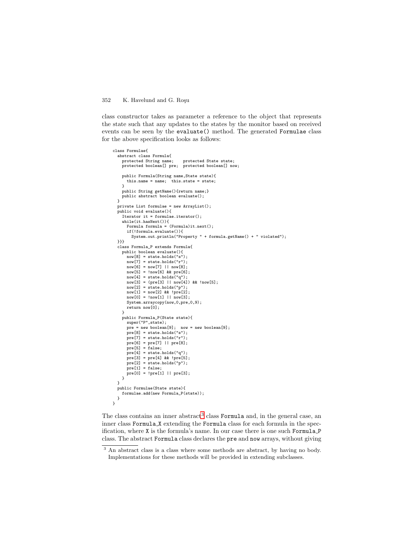class constructor takes as parameter a reference to the object that represents the state such that any updates to the states by the monitor based on received events can be seen by the evaluate() method. The generated Formulae class for the above specification looks as follows:

```
class Formulae{
  abstract class Formula{<br>protected String name;
                                protected State state;
    protected boolean[] pre; protected boolean[] now;
    public Formula(String name,State state){
this.name = name; this.state = state;
    }
    public String getName(){return name;}
    public abstract boolean evaluate();
  }
  private List formulae = new ArrayList();
  public void evaluate(){
    Iterator it = formulae.iterator();
    while(it.hasNext()){
      Formula formula = (Formula)it.next();
      if(!formula.evaluate()){
        System.out.println("Property " + formula.getName() + " violated");
  }}}
  class Formula_P extends Formula{
    public boolean evaluate(){
      now [8] = state.holds("s");now [7] = state.holds("r");now [6] = now [7] || now [8];now [5] = 'now [6] & & pre[6];
      now [4] = state.holds("q");
      now[3] = (pre[3] || now[4]) && !now[5];
      now[2] = state.holds("p");
      now[1] = now[2] & & !pre[2];
      now[0] = 'now[1] || now[3];System.arraycopy(now,0,pre,0,9);
return now[0];
    }
    public Formula_P(State state){
      super("P",state);
      pre = new boolean[9]; now = new boolean[9];
      pre[8] = state.holds("s");pre[7] = state.holds("r");pre[6] = pre[7] || pre[8];
pre[5] = false;
      pre[4] = state.holds("q");
      pre[3] = pre[4] && !pre[5];pre[2] = state.holds("p");
       pre[1] = false;
pre[0] = !pre[1] || pre[3];
    }
  }
  public Formulae(State state){
    formulae.add(new Formula_P(state));
  }
}
```
The class contains an inner abstract<sup>3</sup> class  $\text{Formula}$  and, in the general case, an inner class Formula X extending the Formula class for each formula in the specification, where X is the formula's name. In our case there is one such Formula P class. The abstract Formula class declares the pre and now arrays, without giving

<sup>&</sup>lt;sup>3</sup> An abstract class is a class where some methods are abstract, by having no body. Implementations for these methods will be provided in extending subclasses.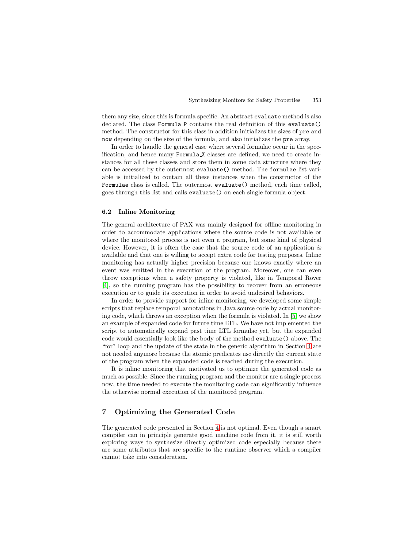<span id="page-11-0"></span>them any size, since this is formula specific. An abstract evaluate method is also declared. The class Formula P contains the real definition of this evaluate() method. The constructor for this class in addition initializes the sizes of pre and now depending on the size of the formula, and also initializes the pre array.

In order to handle the general case where several formulae occur in the specification, and hence many Formula X classes are defined, we need to create instances for all these classes and store them in some data structure where they can be accessed by the outermost evaluate() method. The formulae list variable is initialized to contain all these instances when the constructor of the Formulae class is called. The outermost evaluate () method, each time called, goes through this list and calls evaluate() on each single formula object.

#### **6.2 Inline Monitoring**

The general architecture of PAX was mainly designed for offline monitoring in order to accommodate applications where the source code is not available or where the monitored process is not even a program, but some kind of physical device. However, it is often the case that the source code of an application is available and that one is willing to accept extra code for testing purposes. Inline monitoring has actually higher precision because one knows exactly where an event was emitted in the execution of the program. Moreover, one can even throw exceptions when a safety property is violated, like in Temporal Rover [\[4\]](#page-13-0), so the running program has the possibility to recover from an erroneous execution or to guide its execution in order to avoid undesired behaviors.

In order to provide support for inline monitoring, we developed some simple scripts that replace temporal annotations in Java source code by actual monitoring code, which throws an exception when the formula is violated. In  $[5]$  we show an example of expanded code for future time LTL. We have not implemented the script to automatically expand past time LTL formulae yet, but the expanded code would essentially look like the body of the method evaluate() above. The "for" loop and the update of the state in the generic algorithm in Section [4](#page-5-0) are not needed anymore because the atomic predicates use directly the current state of the program when the expanded code is reached during the execution.

It is inline monitoring that motivated us to optimize the generated code as much as possible. Since the running program and the monitor are a single process now, the time needed to execute the monitoring code can significantly influence the otherwise normal execution of the monitored program.

# **7 Optimizing the Generated Code**

The generated code presented in Section [4](#page-5-0) is not optimal. Even though a smart compiler can in principle generate good machine code from it, it is still worth exploring ways to synthesize directly optimized code especially because there are some attributes that are specific to the runtime observer which a compiler cannot take into consideration.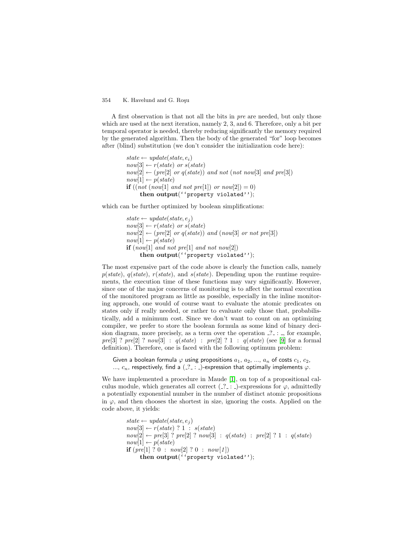A first observation is that not all the bits in  $pre$  are needed, but only those which are used at the next iteration, namely  $2, 3$ , and 6. Therefore, only a bit per temporal operator is needed, thereby reducing significantly the memory required by the generated algorithm. Then the body of the generated "for" loop becomes after (blind) substitution (we don't consider the initialization code here):

> $state \leftarrow update(state, e_i)$  $now[3] \leftarrow r(state)$  or  $s(state)$  $now[2] \leftarrow (pre[2] \text{ or } q(state)) \text{ and not } (not \; now[3] \text{ and } pre[3])$  $now[1] \leftarrow p(state)$ **if**  $((not (now[1] and not pre[1]) or now[2]) = 0)$ **then output**(''property violated'');

which can be further optimized by boolean simplifications:

 $state \leftarrow update(state, e_i)$  $now[3] \leftarrow r(state)$  or  $s(state)$  $now[2] \leftarrow (pre[2] \text{ or } q(state)) \text{ and } (now[3] \text{ or } not \text{ pre}[3])$  $now[1] \leftarrow p(state)$ **if**  $(now[1]$  and not pre[1] and not now[2]) **then output**(''property violated'');

The most expensive part of the code above is clearly the function calls, namely  $p(state), q(state), r(state), and s(state). Depending upon the runtime require$ ments, the execution time of these functions may vary significantly. However, since one of the major concerns of monitoring is to affect the normal execution of the monitored program as little as possible, especially in the inline monitoring approach, one would of course want to evaluate the atomic predicates on states only if really needed, or rather to evaluate only those that, probabilistically, add a minimum cost. Since we don't want to count on an optimizing compiler, we prefer to store the boolean formula as some kind of binary decision diagram, more precisely, as a term over the operation  $\therefore$  :  $\therefore$ , for example, pre[3] ? pre[2] ? now[3] :  $q(state)$  : pre[2] ? 1 :  $q(state)$  (see [\[9\]](#page-14-0) for a formal definition). Therefore, one is faced with the following optimum problem:

```
Given a boolean formula \varphi using propositions a_1, a_2, ..., a_n of costs c_1, c_2,
..., c_n, respectively, find a (2 : =)-expression that optimally implements \varphi.
```
We have implemented a procedure in Maude [\[1\]](#page-13-0), on top of a propositional calculus module, which generates all correct  $( .? . .)$ -expressions for  $\varphi$ , admittedly a potentially exponential number in the number of distinct atomic propositions in  $\varphi$ , and then chooses the shortest in size, ignoring the costs. Applied on the code above, it yields:

```
state \leftarrow update(state, e_j)now[3] \leftarrow r(state) ? 1 : s(state)now[2] \leftarrow pre[3] ? pre[2] ? now[3] : q(state) : pre[2] ? 1 : q(state)now[1] \leftarrow p(state)if (pre[1] ? 0 : now[2] ? 0 : now[1])then output(''property violated'');
```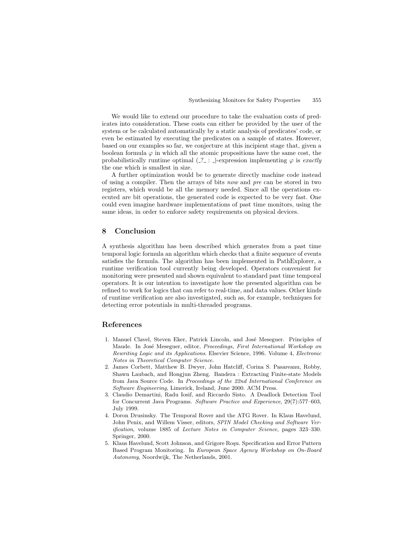<span id="page-13-0"></span>We would like to extend our procedure to take the evaluation costs of predicates into consideration. These costs can either be provided by the user of the system or be calculated automatically by a static analysis of predicates' code, or even be estimated by executing the predicates on a sample of states. However, based on our examples so far, we conjecture at this incipient stage that, given a boolean formula  $\varphi$  in which all the atomic propositions have the same cost, the probabilistically runtime optimal ( $.$ ? : .)-expression implementing  $\varphi$  is exactly the one which is smallest in size.

A further optimization would be to generate directly machine code instead of using a compiler. Then the arrays of bits now and pre can be stored in two registers, which would be all the memory needed. Since all the operations executed are bit operations, the generated code is expected to be very fast. One could even imagine hardware implementations of past time monitors,using the same ideas, in order to enforce safety requirements on physical devices.

### **8 Conclusion**

A synthesis algorithm has been described which generates from a past time temporal logic formula an algorithm which checks that a finite sequence of events satisfies the formula. The algorithm has been implemented in PathExplorer, a runtime verification tool currently being developed. Operators convenient for monitoring were presented and shown equivalent to standard past time temporal operators. It is our intention to investigate how the presented algorithm can be refined to work for logics that can refer to real-time, and data values. Other kinds of runtime verification are also investigated, such as, for example, techniques for detecting error potentials in multi-threaded programs.

### **References**

- 1. Manuel Clavel, Steven Eker, Patrick Lincoln, and José Meseguer. Principles of Maude. In José Meseguer, editor, Proceedings, First International Workshop on Rewriting Logic and its Applications. Elsevier Science, 1996. Volume 4, Electronic Notes in Theoretical Computer Science.
- 2. James Corbett, Matthew B. Dwyer, John Hatcliff, Corina S. Pasareanu, Robby, Shawn Laubach, and Hongjun Zheng. Bandera : Extracting Finite-state Models from Java Source Code. In Proceedings of the 22nd International Conference on Software Engineering, Limerick, Ireland, June 2000. ACM Press.
- 3. Claudio Demartini, Radu Iosif, and Riccardo Sisto. A Deadlock Detection Tool for Concurrent Java Programs. Software Practice and Experience, 29(7):577–603, July 1999.
- 4. Doron Drusinsky. The Temporal Rover and the ATG Rover. In Klaus Havelund, John Penix, and Willem Visser, editors, SPIN Model Checking and Software Verification, volume 1885 of Lecture Notes in Computer Science, pages 323–330. Springer, 2000.
- 5. Klaus Havelund, Scott Johnson, and Grigore Roşu. Specification and Error Pattern Based Program Monitoring. In European Space Agency Workshop on On-Board Autonomy, Noordwijk, The Netherlands, 2001.